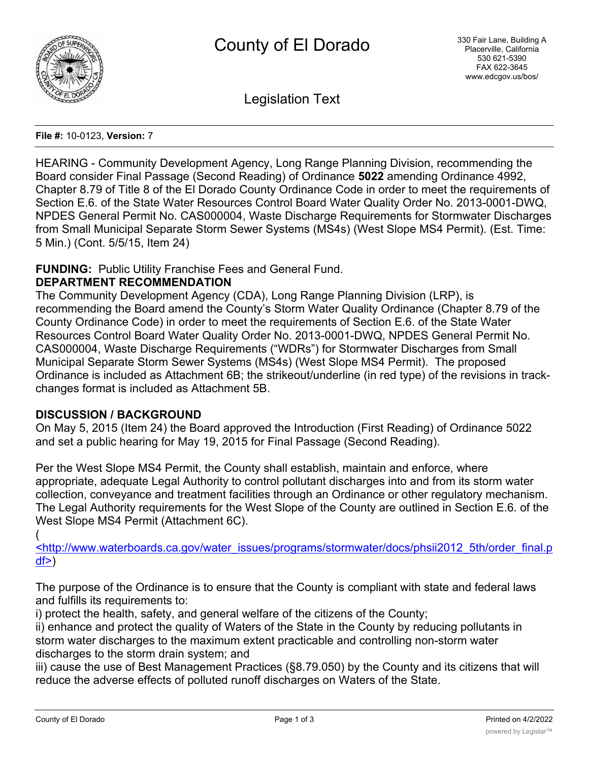

Legislation Text

### **File #:** 10-0123, **Version:** 7

HEARING - Community Development Agency, Long Range Planning Division, recommending the Board consider Final Passage (Second Reading) of Ordinance **5022** amending Ordinance 4992, Chapter 8.79 of Title 8 of the El Dorado County Ordinance Code in order to meet the requirements of Section E.6. of the State Water Resources Control Board Water Quality Order No. 2013-0001-DWQ, NPDES General Permit No. CAS000004, Waste Discharge Requirements for Stormwater Discharges from Small Municipal Separate Storm Sewer Systems (MS4s) (West Slope MS4 Permit). (Est. Time: 5 Min.) (Cont. 5/5/15, Item 24)

# **FUNDING:** Public Utility Franchise Fees and General Fund.

## **DEPARTMENT RECOMMENDATION**

The Community Development Agency (CDA), Long Range Planning Division (LRP), is recommending the Board amend the County's Storm Water Quality Ordinance (Chapter 8.79 of the County Ordinance Code) in order to meet the requirements of Section E.6. of the State Water Resources Control Board Water Quality Order No. 2013-0001-DWQ, NPDES General Permit No. CAS000004, Waste Discharge Requirements ("WDRs") for Stormwater Discharges from Small Municipal Separate Storm Sewer Systems (MS4s) (West Slope MS4 Permit). The proposed Ordinance is included as Attachment 6B; the strikeout/underline (in red type) of the revisions in trackchanges format is included as Attachment 5B.

# **DISCUSSION / BACKGROUND**

On May 5, 2015 (Item 24) the Board approved the Introduction (First Reading) of Ordinance 5022 and set a public hearing for May 19, 2015 for Final Passage (Second Reading).

Per the West Slope MS4 Permit, the County shall establish, maintain and enforce, where appropriate, adequate Legal Authority to control pollutant discharges into and from its storm water collection, conveyance and treatment facilities through an Ordinance or other regulatory mechanism. The Legal Authority requirements for the West Slope of the County are outlined in Section E.6. of the West Slope MS4 Permit (Attachment 6C).

(

<http://www.waterboards.ca.gov/water\_issues/programs/stormwater/docs/phsii2012\_5th/order\_final.p  $df$  $>$ )

The purpose of the Ordinance is to ensure that the County is compliant with state and federal laws and fulfills its requirements to:

i) protect the health, safety, and general welfare of the citizens of the County;

ii) enhance and protect the quality of Waters of the State in the County by reducing pollutants in storm water discharges to the maximum extent practicable and controlling non-storm water discharges to the storm drain system; and

iii) cause the use of Best Management Practices (§8.79.050) by the County and its citizens that will reduce the adverse effects of polluted runoff discharges on Waters of the State.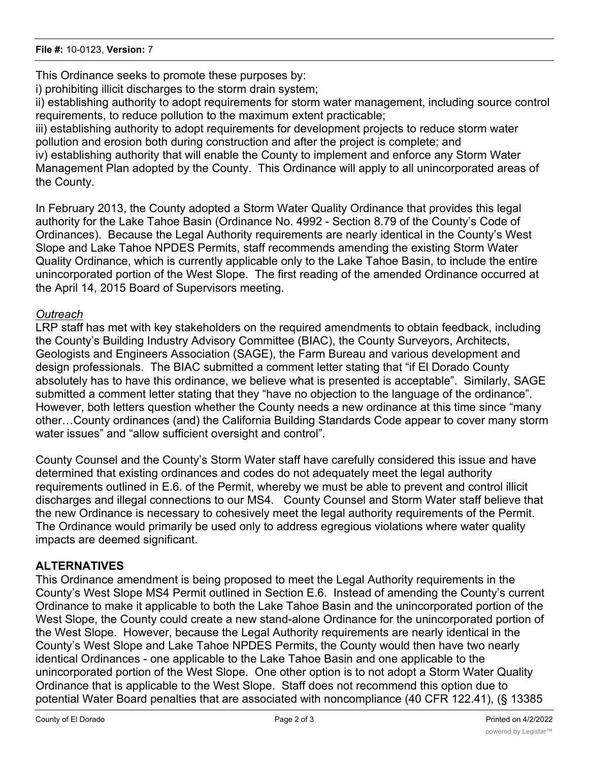This Ordinance seeks to promote these purposes by:

i) prohibiting illicit discharges to the storm drain system;

ii) establishing authority to adopt requirements for storm water management, including source control requirements, to reduce pollution to the maximum extent practicable;

iii) establishing authority to adopt requirements for development projects to reduce storm water pollution and erosion both during construction and after the project is complete; and iv) establishing authority that will enable the County to implement and enforce any Storm Water Management Plan adopted by the County. This Ordinance will apply to all unincorporated areas of the County.

In February 2013, the County adopted a Storm Water Quality Ordinance that provides this legal authority for the Lake Tahoe Basin (Ordinance No. 4992 - Section 8.79 of the County's Code of Ordinances). Because the Legal Authority requirements are nearly identical in the County's West Slope and Lake Tahoe NPDES Permits, staff recommends amending the existing Storm Water Quality Ordinance, which is currently applicable only to the Lake Tahoe Basin, to include the entire unincorporated portion of the West Slope. The first reading of the amended Ordinance occurred at the April 14, 2015 Board of Supervisors meeting.

# *Outreach*

LRP staff has met with key stakeholders on the required amendments to obtain feedback, including the County's Building Industry Advisory Committee (BIAC), the County Surveyors, Architects, Geologists and Engineers Association (SAGE), the Farm Bureau and various development and design professionals. The BIAC submitted a comment letter stating that "if El Dorado County absolutely has to have this ordinance, we believe what is presented is acceptable". Similarly, SAGE submitted a comment letter stating that they "have no objection to the language of the ordinance". However, both letters question whether the County needs a new ordinance at this time since "many other…County ordinances (and) the California Building Standards Code appear to cover many storm water issues" and "allow sufficient oversight and control".

County Counsel and the County's Storm Water staff have carefully considered this issue and have determined that existing ordinances and codes do not adequately meet the legal authority requirements outlined in E.6. of the Permit, whereby we must be able to prevent and control illicit discharges and illegal connections to our MS4. County Counsel and Storm Water staff believe that the new Ordinance is necessary to cohesively meet the legal authority requirements of the Permit. The Ordinance would primarily be used only to address egregious violations where water quality impacts are deemed significant.

# **ALTERNATIVES**

This Ordinance amendment is being proposed to meet the Legal Authority requirements in the County's West Slope MS4 Permit outlined in Section E.6. Instead of amending the County's current Ordinance to make it applicable to both the Lake Tahoe Basin and the unincorporated portion of the West Slope, the County could create a new stand-alone Ordinance for the unincorporated portion of the West Slope. However, because the Legal Authority requirements are nearly identical in the County's West Slope and Lake Tahoe NPDES Permits, the County would then have two nearly identical Ordinances - one applicable to the Lake Tahoe Basin and one applicable to the unincorporated portion of the West Slope. One other option is to not adopt a Storm Water Quality Ordinance that is applicable to the West Slope. Staff does not recommend this option due to potential Water Board penalties that are associated with noncompliance (40 CFR 122.41), (§ 13385